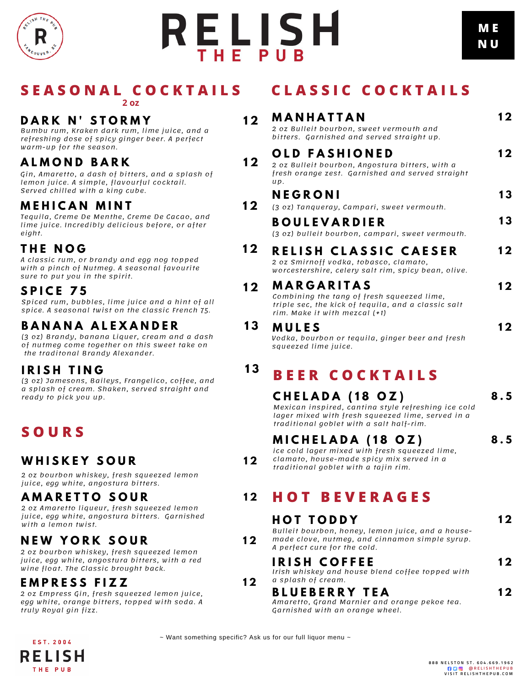

# **RELISH**

# **S E A S O N A L C O C K T A I L S**

#### **2 oz**

#### **D A R K N ' S T O R M Y 1 2**

Bumbu rum, Kraken dark rum, lime juice, and a refreshing dose of spicy ginger beer. A perfect warm-up for the season.

### **A L M O N D B A R K**

Gin, Amaretto, a dash of bitters, and a splash of lemon juice. A simple, flavourful cocktail. Served chilled with a king cube.

#### **M E H I C A N M I N T**

Tequila, Creme De Menthe, Creme De Cacao, and lime juice. Incredibly delicious before, or after eight.

### **T H E N O G**

A classic rum, or brandy and egg nog topped with a pinch of Nutmeg. A seasonal favourite sure to put you in the spirit.

#### **1 2 S P I C E 7 5**

Spiced rum, bubbles, lime juice and a hint of all spice. A seasonal twist on the classic French 75.

#### **B A N A N A A L E X A N D E R**

(3 oz) Brandy, banana Liquer, cream and a dash of nutmeg come together on this sweet take on the traditonal Brandy Alexander.

#### **I R I S H T I N G 1 3**

(3 oz) Jamesons, Baileys, Frangelico, coffee, and a splash of cream. Shaken, served straight and ready to pick you up.

# **S O U R S**

### **W H I S K E Y S O U R 1 2**

2 oz bourbon whiskey, fresh squeezed lemon juice, egg white, angostura bitters.

#### **A M A R E T T O S O U R 1 2**

2 oz Amaretto liqueur, fresh squeezed lemon juice, egg white, angostura bitters. Garnished with a lemon twist.

### **NEW YORK SOUR** 12

2 oz bourbon whiskey, fresh squeezed lemon juice, egg white, angostura bitters, with a red wine float. The Classic brought back.

#### **E M P R E S S F I Z Z 1 2**

EST. 2004 RELISH THE PUB

2 oz Empress Gin, fresh squeezed lemon juice, egg white, orange bitters, topped with soda. A truly Royal gin fizz.

## **C L A S S I C C O C K T A I L S**

|     | MANHATTAN<br>2 oz Bulleit bourbon, sweet vermouth and<br>bitters. Garnished and served straight up.                                                                     | 12  |
|-----|-------------------------------------------------------------------------------------------------------------------------------------------------------------------------|-----|
| UP. | <b>OLD FASHIONED</b><br>2 oz Bulleit bourbon, Angostura bitters, with a<br>fresh orange zest. Garnished and served straight                                             | 12  |
|     | NEGRONI<br>(3 oz) Tanqueray, Campari, sweet vermouth.                                                                                                                   | 13  |
|     | <b>BOULEVARDIER</b><br>(3 oz) bulleit bourbon, campari, sweet vermouth.                                                                                                 | 13  |
|     | RELISH CLASSIC CAESER<br>2 oz Smirnoff vodka, tobasco, clamato,<br>worcestershire, celery salt rim, spicy bean, olive.                                                  | 12  |
|     | <b>MARGARITAS</b><br>Combining the tang of fresh squeezed lime,<br>triple sec, the kick of tequila, and a classic salt<br>rim. Make it with mezcal (+1)                 | 12  |
|     | <b>MULES</b><br>Vodka, bourbon or tequila, ginger beer and fresh<br>squeezed lime juice.                                                                                | 12  |
|     | <b>BEER COCKTAILS</b>                                                                                                                                                   |     |
|     | CHELADA (18 OZ)<br>Mexican inspired, cantina style refreshing ice cold<br>lager mixed with fresh squeezed lime, served in a<br>traditional goblet with a salt half-rim. | 8.5 |
|     | MICHELADA (18 OZ)<br>ice cold lager mixed with fresh squeezed lime,<br>clamato, house-made spicy mix served in a<br>traditional goblet with a taiin rim.                | 8.5 |

## **H O T B E V E R A G E S**

#### **H O T T O D D Y** Bulleit bourbon, honey, lemon juice, and a house made clove, nutmeg, and cinnamon simple syrup. A perfect cure for the cold. **I R I S H C O F F E E** Irish whiskey and house blend coffee topped with **1 2 1 2**

a splash of cream.

#### **B L U E B E R R Y T E A**

Amaretto, Grand Marnier and orange pekoe tea. Garnished with an orange wheel.

 $\sim$  Want something specific? Ask us for our full liquor menu  $\sim$ 

**1 2**